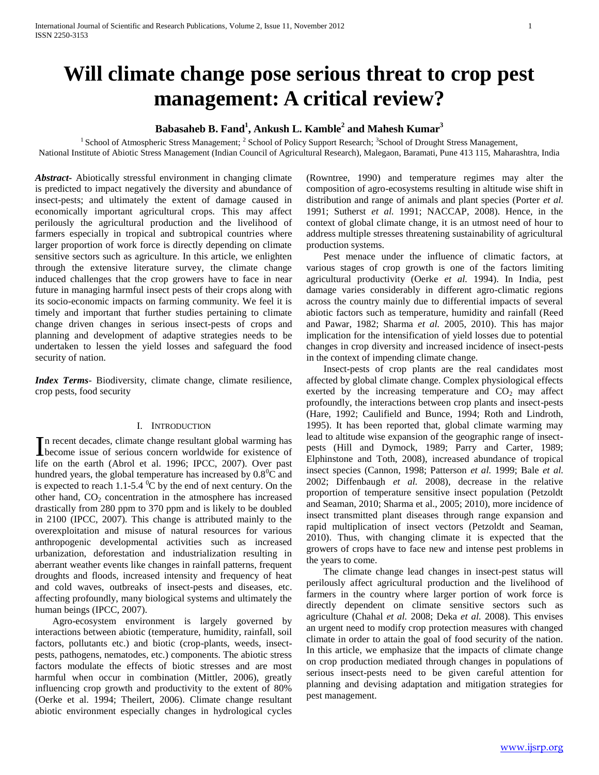# **Will climate change pose serious threat to crop pest management: A critical review?**

# **Babasaheb B. Fand<sup>1</sup> , Ankush L. Kamble<sup>2</sup> and Mahesh Kumar<sup>3</sup>**

<sup>1</sup> School of Atmospheric Stress Management; <sup>2</sup> School of Policy Support Research; <sup>3</sup> School of Drought Stress Management, National Institute of Abiotic Stress Management (Indian Council of Agricultural Research), Malegaon, Baramati, Pune 413 115, Maharashtra, India

*Abstract***-** Abiotically stressful environment in changing climate is predicted to impact negatively the diversity and abundance of insect-pests; and ultimately the extent of damage caused in economically important agricultural crops. This may affect perilously the agricultural production and the livelihood of farmers especially in tropical and subtropical countries where larger proportion of work force is directly depending on climate sensitive sectors such as agriculture. In this article, we enlighten through the extensive literature survey, the climate change induced challenges that the crop growers have to face in near future in managing harmful insect pests of their crops along with its socio-economic impacts on farming community. We feel it is timely and important that further studies pertaining to climate change driven changes in serious insect-pests of crops and planning and development of adaptive strategies needs to be undertaken to lessen the yield losses and safeguard the food security of nation.

*Index Terms*- Biodiversity, climate change, climate resilience, crop pests, food security

#### I. INTRODUCTION

n recent decades, climate change resultant global warming has In recent decades, climate change resultant global warming has<br>become issue of serious concern worldwide for existence of life on the earth (Abrol et al. 1996; IPCC, 2007). Over past hundred years, the global temperature has increased by  $0.8^{\circ}$ C and is expected to reach 1.1-5.4  $\mathrm{^0C}$  by the end of next century. On the other hand,  $CO<sub>2</sub>$  concentration in the atmosphere has increased drastically from 280 ppm to 370 ppm and is likely to be doubled in 2100 (IPCC, 2007). This change is attributed mainly to the overexploitation and misuse of natural resources for various anthropogenic developmental activities such as increased urbanization, deforestation and industrialization resulting in aberrant weather events like changes in rainfall patterns, frequent droughts and floods, increased intensity and frequency of heat and cold waves, outbreaks of insect-pests and diseases, etc. affecting profoundly, many biological systems and ultimately the human beings (IPCC, 2007).

 Agro-ecosystem environment is largely governed by interactions between abiotic (temperature, humidity, rainfall, soil factors, pollutants etc.) and biotic (crop-plants, weeds, insectpests, pathogens, nematodes, etc.) components. The abiotic stress factors modulate the effects of biotic stresses and are most harmful when occur in combination (Mittler, 2006), greatly influencing crop growth and productivity to the extent of 80% (Oerke et al. 1994; Theilert, 2006). Climate change resultant abiotic environment especially changes in hydrological cycles

(Rowntree, 1990) and temperature regimes may alter the composition of agro-ecosystems resulting in altitude wise shift in distribution and range of animals and plant species (Porter *et al.* 1991; Sutherst *et al.* 1991; NACCAP, 2008). Hence, in the context of global climate change, it is an utmost need of hour to address multiple stresses threatening sustainability of agricultural production systems.

 Pest menace under the influence of climatic factors, at various stages of crop growth is one of the factors limiting agricultural productivity (Oerke *et al.* 1994). In India, pest damage varies considerably in different agro-climatic regions across the country mainly due to differential impacts of several abiotic factors such as temperature, humidity and rainfall (Reed and Pawar, 1982; Sharma *et al.* 2005, 2010). This has major implication for the intensification of yield losses due to potential changes in crop diversity and increased incidence of insect-pests in the context of impending climate change.

 Insect-pests of crop plants are the real candidates most affected by global climate change. Complex physiological effects exerted by the increasing temperature and  $CO<sub>2</sub>$  may affect profoundly, the interactions between crop plants and insect-pests (Hare, 1992; Caulifield and Bunce, 1994; Roth and Lindroth, 1995). It has been reported that, global climate warming may lead to altitude wise expansion of the geographic range of insectpests (Hill and Dymock, 1989; Parry and Carter, 1989; Elphinstone and Toth, 2008), increased abundance of tropical insect species (Cannon, 1998; Patterson *et al.* 1999; Bale *et al.* 2002; Diffenbaugh *et al.* 2008), decrease in the relative proportion of temperature sensitive insect population (Petzoldt and Seaman, 2010; Sharma et al., 2005; 2010), more incidence of insect transmitted plant diseases through range expansion and rapid multiplication of insect vectors (Petzoldt and Seaman, 2010). Thus, with changing climate it is expected that the growers of crops have to face new and intense pest problems in the years to come.

 The climate change lead changes in insect-pest status will perilously affect agricultural production and the livelihood of farmers in the country where larger portion of work force is directly dependent on climate sensitive sectors such as agriculture (Chahal *et al.* 2008; Deka *et al.* 2008). This envises an urgent need to modify crop protection measures with changed climate in order to attain the goal of food security of the nation. In this article, we emphasize that the impacts of climate change on crop production mediated through changes in populations of serious insect-pests need to be given careful attention for planning and devising adaptation and mitigation strategies for pest management.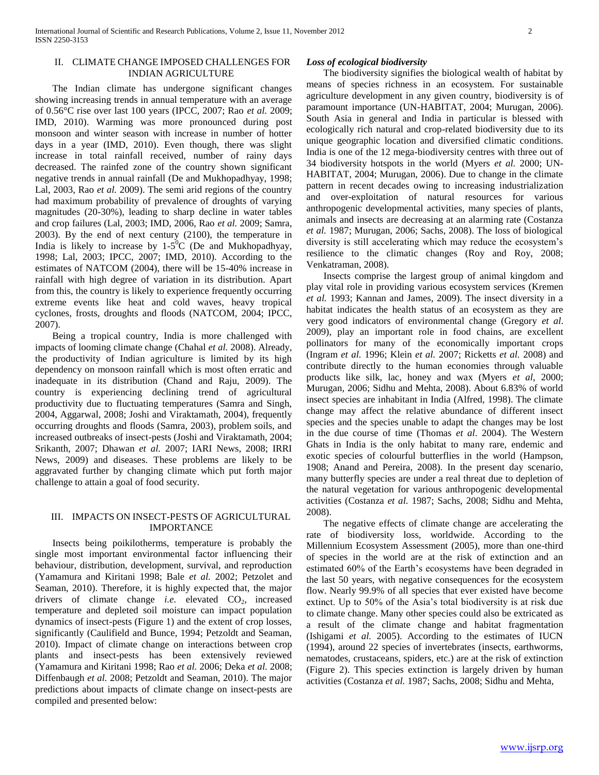#### II. CLIMATE CHANGE IMPOSED CHALLENGES FOR INDIAN AGRICULTURE

 The Indian climate has undergone significant changes showing increasing trends in annual temperature with an average of 0.56°C rise over last 100 years (IPCC, 2007; Rao *et al.* 2009; IMD, 2010). Warming was more pronounced during post monsoon and winter season with increase in number of hotter days in a year (IMD, 2010). Even though, there was slight increase in total rainfall received, number of rainy days decreased. The rainfed zone of the country shown significant negative trends in annual rainfall (De and Mukhopadhyay, 1998; Lal, 2003, Rao *et al.* 2009). The semi arid regions of the country had maximum probability of prevalence of droughts of varying magnitudes (20-30%), leading to sharp decline in water tables and crop failures (Lal, 2003; IMD, 2006, Rao *et al.* 2009; Samra, 2003). By the end of next century (2100), the temperature in India is likely to increase by  $1-5^{\circ}$ C (De and Mukhopadhyay, 1998; Lal, 2003; IPCC, 2007; IMD, 2010). According to the estimates of NATCOM (2004), there will be 15-40% increase in rainfall with high degree of variation in its distribution. Apart from this, the country is likely to experience frequently occurring extreme events like heat and cold waves, heavy tropical cyclones, frosts, droughts and floods (NATCOM, 2004; IPCC, 2007).

 Being a tropical country, India is more challenged with impacts of looming climate change (Chahal *et al.* 2008). Already, the productivity of Indian agriculture is limited by its high dependency on monsoon rainfall which is most often erratic and inadequate in its distribution (Chand and Raju, 2009). The country is experiencing declining trend of agricultural productivity due to fluctuating temperatures (Samra and Singh, 2004, Aggarwal, 2008; Joshi and Viraktamath, 2004), frequently occurring droughts and floods (Samra, 2003), problem soils, and increased outbreaks of insect-pests (Joshi and Viraktamath, 2004; Srikanth, 2007; Dhawan *et al.* 2007; IARI News, 2008; IRRI News, 2009) and diseases. These problems are likely to be aggravated further by changing climate which put forth major challenge to attain a goal of food security.

## III. IMPACTS ON INSECT-PESTS OF AGRICULTURAL IMPORTANCE

 Insects being poikilotherms, temperature is probably the single most important environmental factor influencing their behaviour, distribution, development, survival, and reproduction (Yamamura and Kiritani 1998; Bale *et al.* 2002; Petzolet and Seaman, 2010). Therefore, it is highly expected that, the major drivers of climate change *i.e.* elevated CO<sub>2</sub>, increased temperature and depleted soil moisture can impact population dynamics of insect-pests (Figure 1) and the extent of crop losses, significantly (Caulifield and Bunce, 1994; Petzoldt and Seaman, 2010). Impact of climate change on interactions between crop plants and insect-pests has been extensively reviewed (Yamamura and Kiritani 1998; Rao *et al.* 2006; Deka *et al.* 2008; Diffenbaugh *et al.* 2008; Petzoldt and Seaman, 2010). The major predictions about impacts of climate change on insect-pests are compiled and presented below:

#### *Loss of ecological biodiversity*

 The biodiversity signifies the biological wealth of habitat by means of species richness in an ecosystem. For sustainable agriculture development in any given country, biodiversity is of paramount importance (UN-HABITAT, 2004; Murugan, 2006). South Asia in general and India in particular is blessed with ecologically rich natural and crop-related biodiversity due to its unique geographic location and diversified climatic conditions. India is one of the 12 mega-biodiversity centres with three out of 34 biodiversity hotspots in the world (Myers *et al.* 2000; UN-HABITAT, 2004; Murugan, 2006). Due to change in the climate pattern in recent decades owing to increasing industrialization and over-exploitation of natural resources for various anthropogenic developmental activities, many species of plants, animals and insects are decreasing at an alarming rate (Costanza *et al.* 1987; Murugan, 2006; Sachs, 2008). The loss of biological diversity is still accelerating which may reduce the ecosystem's resilience to the climatic changes (Roy and Roy, 2008; Venkatraman, 2008).

 Insects comprise the largest group of animal kingdom and play vital role in providing various ecosystem services (Kremen *et al.* 1993; Kannan and James, 2009). The insect diversity in a habitat indicates the health status of an ecosystem as they are very good indicators of environmental change (Gregory *et al*. 2009), play an important role in food chains, are excellent pollinators for many of the economically important crops (Ingram *et al.* 1996; Klein *et al.* 2007; Ricketts *et al.* 2008) and contribute directly to the human economies through valuable products like silk, lac, honey and wax (Myers *et al*, 2000; Murugan, 2006; Sidhu and Mehta, 2008). About 6.83% of world insect species are inhabitant in India (Alfred, 1998). The climate change may affect the relative abundance of different insect species and the species unable to adapt the changes may be lost in the due course of time (Thomas *et al*. 2004). The Western Ghats in India is the only habitat to many rare, endemic and exotic species of colourful butterflies in the world (Hampson, 1908; Anand and Pereira, 2008). In the present day scenario, many butterfly species are under a real threat due to depletion of the natural vegetation for various anthropogenic developmental activities (Costanza *et al.* 1987; Sachs, 2008; Sidhu and Mehta, 2008).

 The negative effects of climate change are accelerating the rate of biodiversity loss, worldwide. According to the Millennium Ecosystem Assessment (2005), more than one-third of species in the world are at the risk of extinction and an estimated 60% of the Earth's ecosystems have been degraded in the last 50 years, with negative consequences for the ecosystem flow. Nearly 99.9% of all species that ever existed have become extinct. Up to 50% of the Asia's total biodiversity is at risk due to climate change. Many other species could also be extricated as a result of the climate change and habitat fragmentation (Ishigami *et al.* 2005). According to the estimates of IUCN (1994), around 22 species of invertebrates (insects, earthworms, nematodes, crustaceans, spiders, etc.) are at the risk of extinction (Figure 2). This species extinction is largely driven by human activities (Costanza *et al.* 1987; Sachs, 2008; Sidhu and Mehta,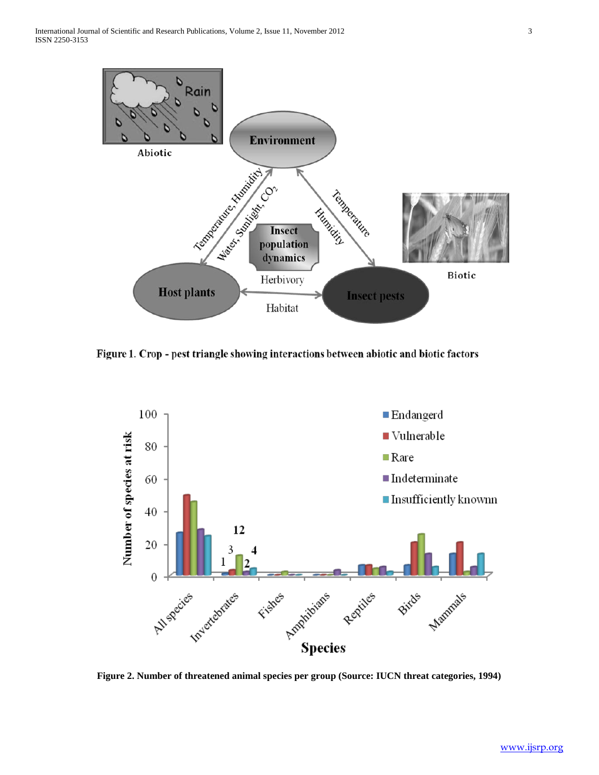

Figure 1. Crop - pest triangle showing interactions between abiotic and biotic factors



**Figure 2. Number of threatened animal species per group (Source: IUCN threat categories, 1994)**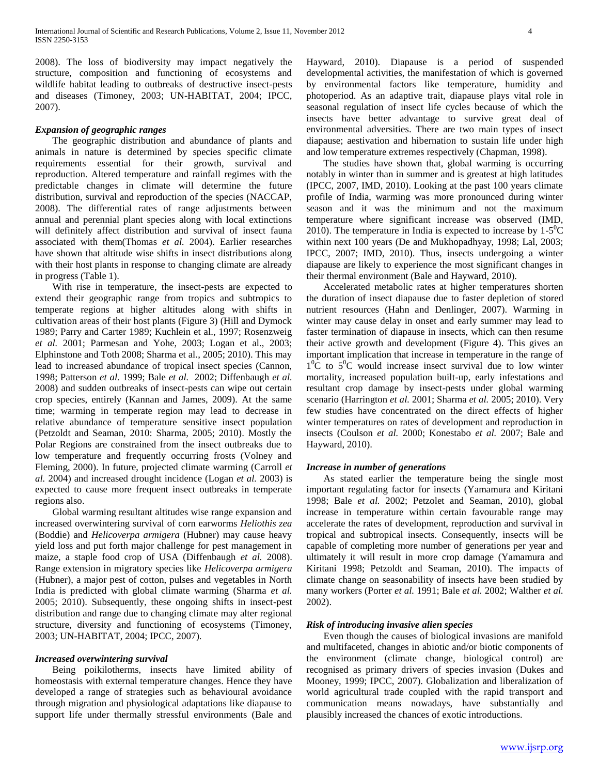2008). The loss of biodiversity may impact negatively the structure, composition and functioning of ecosystems and wildlife habitat leading to outbreaks of destructive insect-pests and diseases (Timoney, 2003; UN-HABITAT, 2004; IPCC, 2007).

#### *Expansion of geographic ranges*

 The geographic distribution and abundance of plants and animals in nature is determined by species specific climate requirements essential for their growth, survival and reproduction. Altered temperature and rainfall regimes with the predictable changes in climate will determine the future distribution, survival and reproduction of the species (NACCAP, 2008). The differential rates of range adjustments between annual and perennial plant species along with local extinctions will definitely affect distribution and survival of insect fauna associated with them(Thomas *et al.* 2004). Earlier researches have shown that altitude wise shifts in insect distributions along with their host plants in response to changing climate are already in progress (Table 1).

 With rise in temperature, the insect-pests are expected to extend their geographic range from tropics and subtropics to temperate regions at higher altitudes along with shifts in cultivation areas of their host plants (Figure 3) (Hill and Dymock 1989; Parry and Carter 1989; Kuchlein et al., 1997; Rosenzweig *et al.* 2001; Parmesan and Yohe, 2003; Logan et al., 2003; Elphinstone and Toth 2008; Sharma et al., 2005; 2010). This may lead to increased abundance of tropical insect species (Cannon, 1998; Patterson *et al.* 1999; Bale *et al.* 2002; Diffenbaugh *et al.* 2008) and sudden outbreaks of insect-pests can wipe out certain crop species, entirely (Kannan and James, 2009). At the same time; warming in temperate region may lead to decrease in relative abundance of temperature sensitive insect population (Petzoldt and Seaman, 2010: Sharma, 2005; 2010). Mostly the Polar Regions are constrained from the insect outbreaks due to low temperature and frequently occurring frosts (Volney and Fleming, 2000). In future, projected climate warming (Carroll *et al.* 2004) and increased drought incidence (Logan *et al.* 2003) is expected to cause more frequent insect outbreaks in temperate regions also.

 Global warming resultant altitudes wise range expansion and increased overwintering survival of corn earworms *Heliothis zea* (Boddie) and *Helicoverpa armigera* (Hubner) may cause heavy yield loss and put forth major challenge for pest management in maize, a staple food crop of USA (Diffenbaugh *et al.* 2008). Range extension in migratory species like *Helicoverpa armigera* (Hubner), a major pest of cotton, pulses and vegetables in North India is predicted with global climate warming (Sharma *et al.* 2005; 2010). Subsequently, these ongoing shifts in insect-pest distribution and range due to changing climate may alter regional structure, diversity and functioning of ecosystems (Timoney, 2003; UN-HABITAT, 2004; IPCC, 2007).

#### *Increased overwintering survival*

 Being poikilotherms, insects have limited ability of homeostasis with external temperature changes. Hence they have developed a range of strategies such as behavioural avoidance through migration and physiological adaptations like diapause to support life under thermally stressful environments (Bale and

Hayward, 2010). Diapause is a period of suspended developmental activities, the manifestation of which is governed by environmental factors like temperature, humidity and photoperiod. As an adaptive trait, diapause plays vital role in seasonal regulation of insect life cycles because of which the insects have better advantage to survive great deal of environmental adversities. There are two main types of insect diapause; aestivation and hibernation to sustain life under high and low temperature extremes respectively (Chapman, 1998).

 The studies have shown that, global warming is occurring notably in winter than in summer and is greatest at high latitudes (IPCC, 2007, IMD, 2010). Looking at the past 100 years climate profile of India, warming was more pronounced during winter season and it was the minimum and not the maximum temperature where significant increase was observed (IMD, 2010). The temperature in India is expected to increase by  $1-5^0C$ within next 100 years (De and Mukhopadhyay, 1998; Lal, 2003; IPCC, 2007; IMD, 2010). Thus, insects undergoing a winter diapause are likely to experience the most significant changes in their thermal environment (Bale and Hayward, 2010).

 Accelerated metabolic rates at higher temperatures shorten the duration of insect diapause due to faster depletion of stored nutrient resources (Hahn and Denlinger, 2007). Warming in winter may cause delay in onset and early summer may lead to faster termination of diapause in insects, which can then resume their active growth and development (Figure 4). This gives an important implication that increase in temperature in the range of  $1^0$ C to  $5^0$ C would increase insect survival due to low winter mortality, increased population built-up, early infestations and resultant crop damage by insect-pests under global warming scenario (Harrington *et al.* 2001; Sharma *et al.* 2005; 2010). Very few studies have concentrated on the direct effects of higher winter temperatures on rates of development and reproduction in insects (Coulson *et al.* 2000; Konestabo *et al.* 2007; Bale and Hayward, 2010).

#### *Increase in number of generations*

 As stated earlier the temperature being the single most important regulating factor for insects (Yamamura and Kiritani 1998; Bale *et al.* 2002; Petzolet and Seaman, 2010), global increase in temperature within certain favourable range may accelerate the rates of development, reproduction and survival in tropical and subtropical insects. Consequently, insects will be capable of completing more number of generations per year and ultimately it will result in more crop damage (Yamamura and Kiritani 1998; Petzoldt and Seaman, 2010). The impacts of climate change on seasonability of insects have been studied by many workers (Porter *et al.* 1991; Bale *et al.* 2002; Walther *et al.* 2002).

#### *Risk of introducing invasive alien species*

 Even though the causes of biological invasions are manifold and multifaceted, changes in abiotic and/or biotic components of the environment (climate change, biological control) are recognised as primary drivers of species invasion (Dukes and Mooney, 1999; IPCC, 2007). Globalization and liberalization of world agricultural trade coupled with the rapid transport and communication means nowadays, have substantially and plausibly increased the chances of exotic introductions.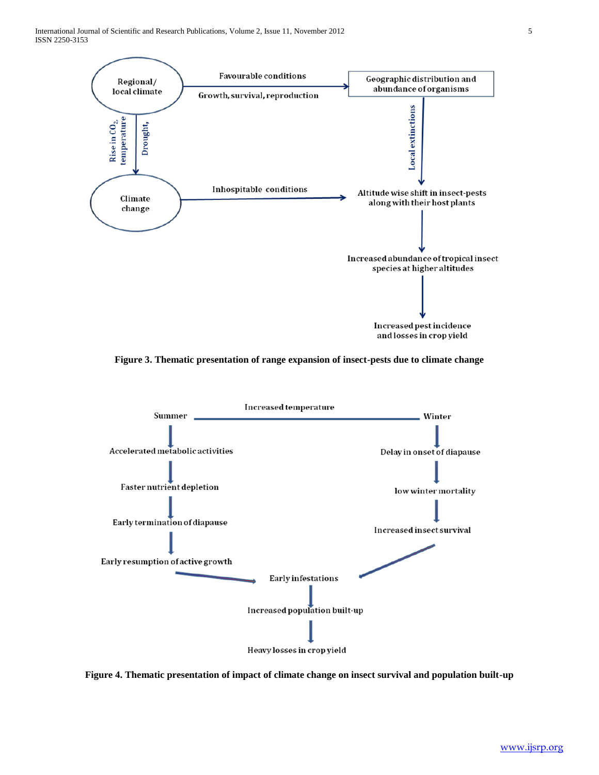International Journal of Scientific and Research Publications, Volume 2, Issue 11, November 2012 5 ISSN 2250-3153



**Figure 3. Thematic presentation of range expansion of insect-pests due to climate change**



**Figure 4. Thematic presentation of impact of climate change on insect survival and population built-up**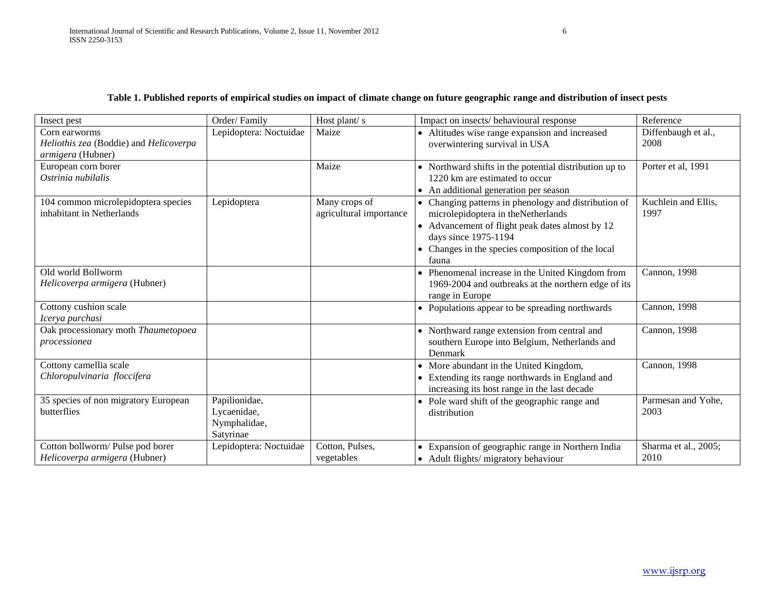| Insect pest                                                                  | Order/Family                                              | Host plant/s                             | Impact on insects/ behavioural response                                                                                                                                                                                             | Reference                    |
|------------------------------------------------------------------------------|-----------------------------------------------------------|------------------------------------------|-------------------------------------------------------------------------------------------------------------------------------------------------------------------------------------------------------------------------------------|------------------------------|
| Corn earworms<br>Heliothis zea (Boddie) and Helicoverpa<br>armigera (Hubner) | Lepidoptera: Noctuidae                                    | Maize                                    | • Altitudes wise range expansion and increased<br>overwintering survival in USA                                                                                                                                                     | Diffenbaugh et al.,<br>2008  |
| European corn borer<br>Ostrinia nubilalis                                    |                                                           | Maize                                    | • Northward shifts in the potential distribution up to<br>1220 km are estimated to occur<br>• An additional generation per season                                                                                                   | Porter et al, 1991           |
| 104 common microlepidoptera species<br>inhabitant in Netherlands             | Lepidoptera                                               | Many crops of<br>agricultural importance | • Changing patterns in phenology and distribution of<br>microlepidoptera in theNetherlands<br>• Advancement of flight peak dates almost by 12<br>days since 1975-1194<br>• Changes in the species composition of the local<br>fauna | Kuchlein and Ellis,<br>1997  |
| Old world Bollworm<br>Helicoverpa armigera (Hubner)                          |                                                           |                                          | • Phenomenal increase in the United Kingdom from<br>1969-2004 and outbreaks at the northern edge of its<br>range in Europe                                                                                                          | Cannon, 1998                 |
| Cottony cushion scale<br>Icerya purchasi                                     |                                                           |                                          | • Populations appear to be spreading northwards                                                                                                                                                                                     | Cannon, 1998                 |
| Oak processionary moth Thaumetopoea<br>processionea                          |                                                           |                                          | • Northward range extension from central and<br>southern Europe into Belgium, Netherlands and<br>Denmark                                                                                                                            | Cannon, 1998                 |
| Cottony camellia scale<br>Chloropulvinaria floccifera                        |                                                           |                                          | • More abundant in the United Kingdom,<br>• Extending its range northwards in England and<br>increasing its host range in the last decade                                                                                           | Cannon, 1998                 |
| 35 species of non migratory European<br>butterflies                          | Papilionidae,<br>Lycaenidae,<br>Nymphalidae,<br>Satyrinae |                                          | • Pole ward shift of the geographic range and<br>distribution                                                                                                                                                                       | Parmesan and Yohe,<br>2003   |
| Cotton bollworm/ Pulse pod borer<br>Helicoverpa armigera (Hubner)            | Lepidoptera: Noctuidae                                    | Cotton, Pulses,<br>vegetables            | • Expansion of geographic range in Northern India<br>• Adult flights/ migratory behaviour                                                                                                                                           | Sharma et al., 2005;<br>2010 |

# **Table 1. Published reports of empirical studies on impact of climate change on future geographic range and distribution of insect pests**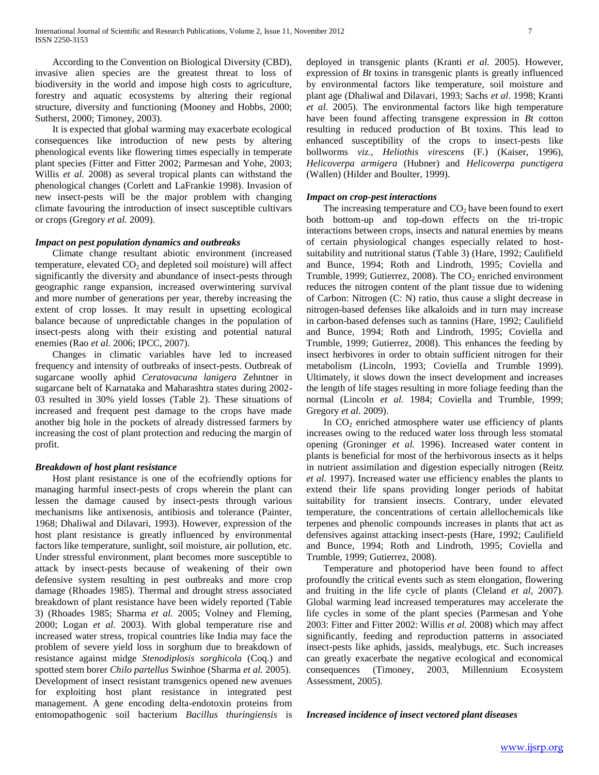According to the Convention on Biological Diversity (CBD), invasive alien species are the greatest threat to loss of biodiversity in the world and impose high costs to agriculture, forestry and aquatic ecosystems by altering their regional structure, diversity and functioning (Mooney and Hobbs, 2000; Sutherst, 2000; Timoney, 2003).

 It is expected that global warming may exacerbate ecological consequences like introduction of new pests by altering phenological events like flowering times especially in temperate plant species (Fitter and Fitter 2002; Parmesan and Yohe, 2003; Willis *et al.* 2008) as several tropical plants can withstand the phenological changes (Corlett and LaFrankie 1998). Invasion of new insect-pests will be the major problem with changing climate favouring the introduction of insect susceptible cultivars or crops (Gregory *et al.* 2009).

#### *Impact on pest population dynamics and outbreaks*

 Climate change resultant abiotic environment (increased temperature, elevated  $CO<sub>2</sub>$  and depleted soil moisture) will affect significantly the diversity and abundance of insect-pests through geographic range expansion, increased overwintering survival and more number of generations per year, thereby increasing the extent of crop losses. It may result in upsetting ecological balance because of unpredictable changes in the population of insect-pests along with their existing and potential natural enemies (Rao *et al.* 2006; IPCC, 2007).

 Changes in climatic variables have led to increased frequency and intensity of outbreaks of insect-pests. Outbreak of sugarcane woolly aphid *Ceratovacuna lanigera* Zehntner in sugarcane belt of Karnataka and Maharashtra states during 2002- 03 resulted in 30% yield losses (Table 2). These situations of increased and frequent pest damage to the crops have made another big hole in the pockets of already distressed farmers by increasing the cost of plant protection and reducing the margin of profit.

#### *Breakdown of host plant resistance*

 Host plant resistance is one of the ecofriendly options for managing harmful insect-pests of crops wherein the plant can lessen the damage caused by insect-pests through various mechanisms like antixenosis, antibiosis and tolerance (Painter, 1968; Dhaliwal and Dilavari, 1993). However, expression of the host plant resistance is greatly influenced by environmental factors like temperature, sunlight, soil moisture, air pollution, etc. Under stressful environment, plant becomes more susceptible to attack by insect-pests because of weakening of their own defensive system resulting in pest outbreaks and more crop damage (Rhoades 1985). Thermal and drought stress associated breakdown of plant resistance have been widely reported (Table 3) (Rhoades 1985; Sharma *et al.* 2005; Volney and Fleming, 2000; Logan *et al.* 2003). With global temperature rise and increased water stress, tropical countries like India may face the problem of severe yield loss in sorghum due to breakdown of resistance against midge *Stenodiplosis sorghicola* (Coq.) and spotted stem borer *Chilo partellus* Swinhoe (Sharma *et al.* 2005). Development of insect resistant transgenics opened new avenues for exploiting host plant resistance in integrated pest management. A gene encoding delta-endotoxin proteins from entomopathogenic soil bacterium *Bacillus thuringiensis* is deployed in transgenic plants (Kranti *et al.* 2005). However, expression of *Bt* toxins in transgenic plants is greatly influenced by environmental factors like temperature, soil moisture and plant age (Dhaliwal and Dilavari, 1993; Sachs *et al*. 1998; Kranti *et al.* 2005). The environmental factors like high temperature have been found affecting transgene expression in *Bt* cotton resulting in reduced production of Bt toxins. This lead to enhanced susceptibility of the crops to insect-pests like bollworms *viz., Heliothis virescens* (F.) (Kaiser, 1996), *Helicoverpa armigera* (Hubner) and *Helicoverpa punctigera* (Wallen) (Hilder and Boulter, 1999).

#### *Impact on crop-pest interactions*

The increasing temperature and  $CO<sub>2</sub>$  have been found to exert both bottom-up and top-down effects on the tri-tropic interactions between crops, insects and natural enemies by means of certain physiological changes especially related to hostsuitability and nutritional status (Table 3) (Hare, 1992; Caulifield and Bunce, 1994; Roth and Lindroth, 1995; Coviella and Trumble, 1999; Gutierrez, 2008). The  $CO<sub>2</sub>$  enriched environment reduces the nitrogen content of the plant tissue due to widening of Carbon: Nitrogen (C: N) ratio, thus cause a slight decrease in nitrogen-based defenses like alkaloids and in turn may increase in carbon-based defenses such as tannins (Hare, 1992; Caulifield and Bunce, 1994; Roth and Lindroth, 1995; Coviella and Trumble, 1999; Gutierrez, 2008). This enhances the feeding by insect herbivores in order to obtain sufficient nitrogen for their metabolism (Lincoln, 1993; Coviella and Trumble 1999). Ultimately, it slows down the insect development and increases the length of life stages resulting in more foliage feeding than the normal (Lincoln *et al.* 1984; Coviella and Trumble, 1999; Gregory *et al.* 2009).

In  $CO<sub>2</sub>$  enriched atmosphere water use efficiency of plants increases owing to the reduced water loss through less stomatal opening (Groninger *et al.* 1996). Increased water content in plants is beneficial for most of the herbivorous insects as it helps in nutrient assimilation and digestion especially nitrogen (Reitz *et al.* 1997). Increased water use efficiency enables the plants to extend their life spans providing longer periods of habitat suitability for transient insects. Contrary, under elevated temperature, the concentrations of certain allellochemicals like terpenes and phenolic compounds increases in plants that act as defensives against attacking insect-pests (Hare, 1992; Caulifield and Bunce, 1994; Roth and Lindroth, 1995; Coviella and Trumble, 1999; Gutierrez, 2008).

 Temperature and photoperiod have been found to affect profoundly the critical events such as stem elongation, flowering and fruiting in the life cycle of plants (Cleland *et al,* 2007). Global warming lead increased temperatures may accelerate the life cycles in some of the plant species (Parmesan and Yohe 2003: Fitter and Fitter 2002: Willis *et al.* 2008) which may affect significantly, feeding and reproduction patterns in associated insect-pests like aphids, jassids, mealybugs, etc. Such increases can greatly exacerbate the negative ecological and economical consequences (Timoney, 2003, Millennium Ecosystem Assessment, 2005).

*Increased incidence of insect vectored plant diseases*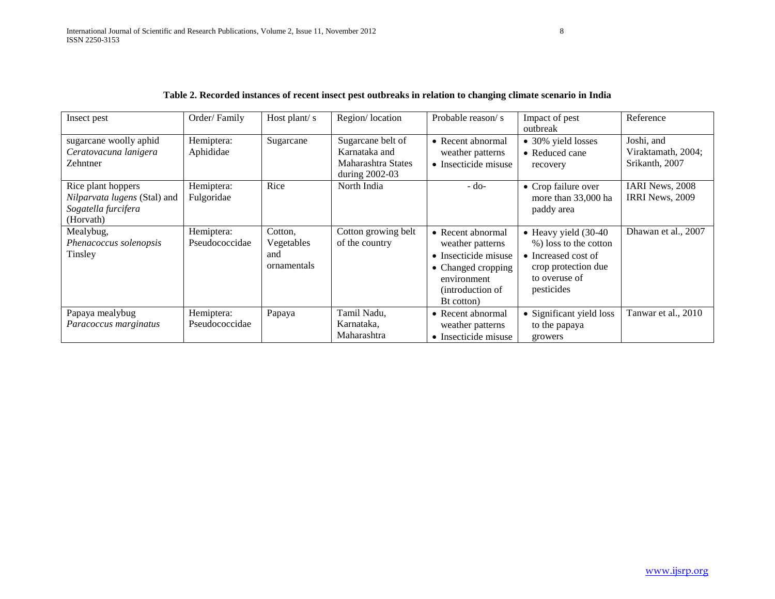| Insect pest                                                                                   | Order/Family                 | Host plant/s                                | Region/location                                                            | Probable reason/s                                                                                                                            | Impact of pest<br>outbreak                                                                                                          | Reference                                          |
|-----------------------------------------------------------------------------------------------|------------------------------|---------------------------------------------|----------------------------------------------------------------------------|----------------------------------------------------------------------------------------------------------------------------------------------|-------------------------------------------------------------------------------------------------------------------------------------|----------------------------------------------------|
| sugarcane woolly aphid<br>Ceratovacuna lanigera<br>Zehntner                                   | Hemiptera:<br>Aphididae      | Sugarcane                                   | Sugarcane belt of<br>Karnataka and<br>Maharashtra States<br>during 2002-03 | • Recent abnormal<br>weather patterns<br>• Insecticide misuse                                                                                | • 30% yield losses<br>• Reduced cane<br>recovery                                                                                    | Joshi, and<br>Viraktamath, 2004;<br>Srikanth, 2007 |
| Rice plant hoppers<br><i>Nilparvata lugens</i> (Stal) and<br>Sogatella furcifera<br>(Horvath) | Hemiptera:<br>Fulgoridae     | Rice                                        | North India                                                                | $-do-$                                                                                                                                       | • Crop failure over<br>more than 33,000 ha<br>paddy area                                                                            | <b>IARI News, 2008</b><br><b>IRRI News, 2009</b>   |
| Mealybug,<br>Phenacoccus solenopsis<br>Tinsley                                                | Hemiptera:<br>Pseudococcidae | Cotton,<br>Vegetables<br>and<br>ornamentals | Cotton growing belt<br>of the country                                      | $\bullet$ Recent abnormal<br>weather patterns<br>• Insecticide misuse<br>• Changed cropping<br>environment<br>(introduction of<br>Bt cotton) | $\bullet$ Heavy yield (30-40)<br>%) loss to the cotton<br>• Increased cost of<br>crop protection due<br>to overuse of<br>pesticides | Dhawan et al., 2007                                |
| Papaya mealybug<br>Paracoccus marginatus                                                      | Hemiptera:<br>Pseudococcidae | Papaya                                      | Tamil Nadu,<br>Karnataka,<br>Maharashtra                                   | • Recent abnormal<br>weather patterns<br>• Insecticide misuse                                                                                | • Significant yield loss<br>to the papaya<br>growers                                                                                | Tanwar et al., 2010                                |

## **Table 2. Recorded instances of recent insect pest outbreaks in relation to changing climate scenario in India**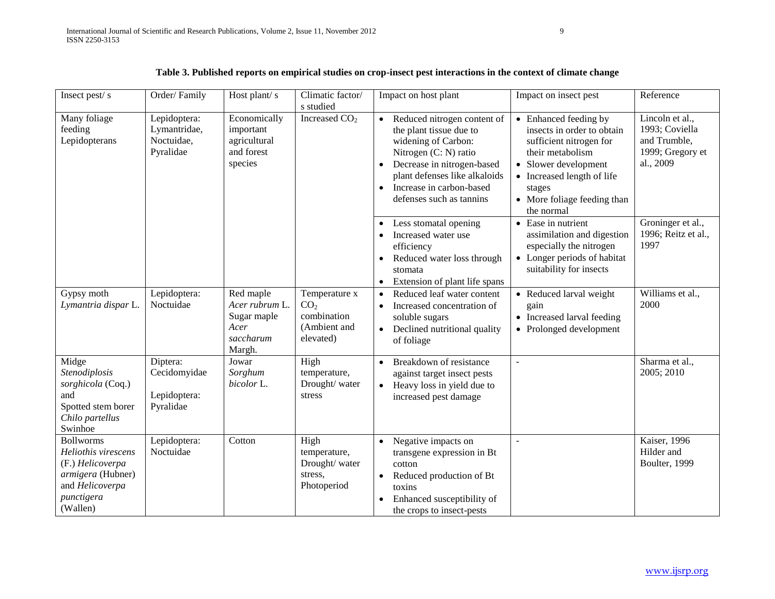| Insect pest/s                                                                                                                 | Order/Family                                            | Host plant/s                                                              | Climatic factor/<br>s studied                                                | Impact on host plant                                                                                                                                                                                                                                                                          | Impact on insect pest                                                                                                                                                                                                                 | Reference                                                                                               |
|-------------------------------------------------------------------------------------------------------------------------------|---------------------------------------------------------|---------------------------------------------------------------------------|------------------------------------------------------------------------------|-----------------------------------------------------------------------------------------------------------------------------------------------------------------------------------------------------------------------------------------------------------------------------------------------|---------------------------------------------------------------------------------------------------------------------------------------------------------------------------------------------------------------------------------------|---------------------------------------------------------------------------------------------------------|
| Many foliage<br>feeding<br>Lepidopterans                                                                                      | Lepidoptera:<br>Lymantridae,<br>Noctuidae,<br>Pyralidae | Economically<br>important<br>agricultural<br>and forest<br>species        | Increased $CO2$                                                              | Reduced nitrogen content of<br>the plant tissue due to<br>widening of Carbon:<br>Nitrogen (C: N) ratio<br>Decrease in nitrogen-based<br>$\bullet$<br>plant defenses like alkaloids<br>Increase in carbon-based<br>$\bullet$<br>defenses such as tannins<br>Less stomatal opening<br>$\bullet$ | • Enhanced feeding by<br>insects in order to obtain<br>sufficient nitrogen for<br>their metabolism<br>• Slower development<br>• Increased length of life<br>stages<br>• More foliage feeding than<br>the normal<br>• Ease in nutrient | Lincoln et al.,<br>1993; Coviella<br>and Trumble,<br>1999; Gregory et<br>al., 2009<br>Groninger et al., |
|                                                                                                                               |                                                         |                                                                           |                                                                              | Increased water use<br>$\bullet$<br>efficiency<br>Reduced water loss through<br>$\bullet$<br>stomata<br>Extension of plant life spans<br>$\bullet$                                                                                                                                            | assimilation and digestion<br>especially the nitrogen<br>• Longer periods of habitat<br>suitability for insects                                                                                                                       | 1996; Reitz et al.,<br>1997                                                                             |
| Gypsy moth<br>Lymantria dispar L.                                                                                             | Lepidoptera:<br>Noctuidae                               | Red maple<br>Acer rubrum L.<br>Sugar maple<br>Acer<br>saccharum<br>Margh. | Temperature x<br>CO <sub>2</sub><br>combination<br>(Ambient and<br>elevated) | Reduced leaf water content<br>$\bullet$<br>Increased concentration of<br>$\bullet$<br>soluble sugars<br>Declined nutritional quality<br>$\bullet$<br>of foliage                                                                                                                               | • Reduced larval weight<br>gain<br>• Increased larval feeding<br>• Prolonged development                                                                                                                                              | Williams et al.,<br>2000                                                                                |
| Midge<br>Stenodiplosis<br>sorghicola (Coq.)<br>and<br>Spotted stem borer<br>Chilo partellus<br>Swinhoe                        | Diptera:<br>Cecidomyidae<br>Lepidoptera:<br>Pyralidae   | Jowar<br>Sorghum<br>bicolor L.                                            | High<br>temperature,<br>Drought/ water<br>stress                             | Breakdown of resistance<br>$\bullet$<br>against target insect pests<br>Heavy loss in yield due to<br>$\bullet$<br>increased pest damage                                                                                                                                                       | $\blacksquare$                                                                                                                                                                                                                        | Sharma et al.,<br>2005; 2010                                                                            |
| <b>Bollworms</b><br>Heliothis virescens<br>(F.) Helicoverpa<br>armigera (Hubner)<br>and Helicoverpa<br>punctigera<br>(Wallen) | Lepidoptera:<br>Noctuidae                               | Cotton                                                                    | High<br>temperature,<br>Drought/ water<br>stress,<br>Photoperiod             | Negative impacts on<br>$\bullet$<br>transgene expression in Bt<br>cotton<br>Reduced production of Bt<br>$\bullet$<br>toxins<br>Enhanced susceptibility of<br>the crops to insect-pests                                                                                                        | $\overline{\phantom{a}}$                                                                                                                                                                                                              | <b>Kaiser</b> , 1996<br>Hilder and<br>Boulter, 1999                                                     |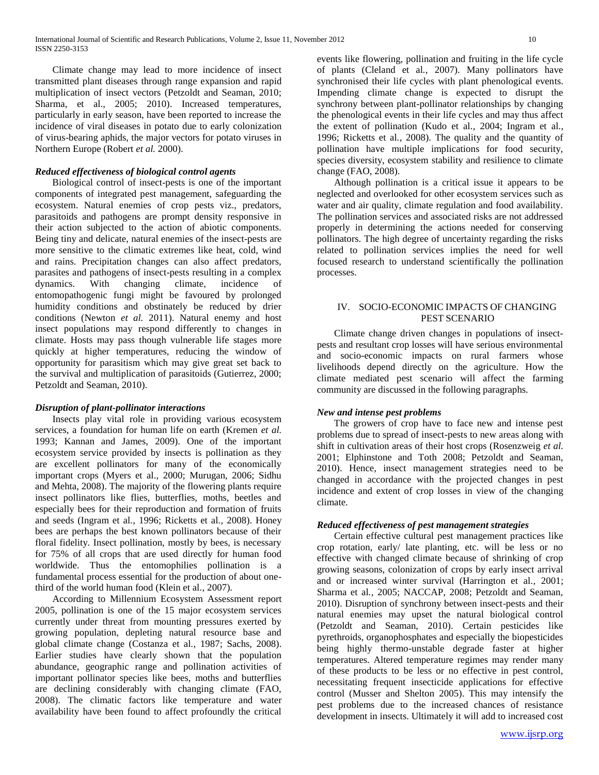Climate change may lead to more incidence of insect transmitted plant diseases through range expansion and rapid multiplication of insect vectors (Petzoldt and Seaman, 2010; Sharma, et al., 2005; 2010). Increased temperatures, particularly in early season, have been reported to increase the incidence of viral diseases in potato due to early colonization of virus-bearing aphids, the major vectors for potato viruses in Northern Europe (Robert *et al.* 2000).

#### *Reduced effectiveness of biological control agents*

 Biological control of insect-pests is one of the important components of integrated pest management, safeguarding the ecosystem. Natural enemies of crop pests viz., predators, parasitoids and pathogens are prompt density responsive in their action subjected to the action of abiotic components. Being tiny and delicate, natural enemies of the insect-pests are more sensitive to the climatic extremes like heat, cold, wind and rains. Precipitation changes can also affect predators, parasites and pathogens of insect-pests resulting in a complex dynamics. With changing climate, incidence of entomopathogenic fungi might be favoured by prolonged humidity conditions and obstinately be reduced by drier conditions (Newton *et al.* 2011). Natural enemy and host insect populations may respond differently to changes in climate. Hosts may pass though vulnerable life stages more quickly at higher temperatures, reducing the window of opportunity for parasitism which may give great set back to the survival and multiplication of parasitoids (Gutierrez, 2000; Petzoldt and Seaman, 2010).

#### *Disruption of plant-pollinator interactions*

 Insects play vital role in providing various ecosystem services, a foundation for human life on earth (Kremen *et al.* 1993; Kannan and James, 2009). One of the important ecosystem service provided by insects is pollination as they are excellent pollinators for many of the economically important crops (Myers et al., 2000; Murugan, 2006; Sidhu and Mehta, 2008). The majority of the flowering plants require insect pollinators like flies, butterflies, moths, beetles and especially bees for their reproduction and formation of fruits and seeds (Ingram et al*.*, 1996; Ricketts et al*.,* 2008). Honey bees are perhaps the best known pollinators because of their floral fidelity. Insect pollination, mostly by bees, is necessary for 75% of all crops that are used directly for human food worldwide. Thus the entomophilies pollination is a fundamental process essential for the production of about onethird of the world human food (Klein et al*.,* 2007).

 According to Millennium Ecosystem Assessment report 2005, pollination is one of the 15 major ecosystem services currently under threat from mounting pressures exerted by growing population, depleting natural resource base and global climate change (Costanza et al*.,* 1987; Sachs, 2008). Earlier studies have clearly shown that the population abundance, geographic range and pollination activities of important pollinator species like bees, moths and butterflies are declining considerably with changing climate (FAO, 2008). The climatic factors like temperature and water availability have been found to affect profoundly the critical

events like flowering, pollination and fruiting in the life cycle of plants (Cleland et al*.,* 2007). Many pollinators have synchronised their life cycles with plant phenological events. Impending climate change is expected to disrupt the synchrony between plant-pollinator relationships by changing the phenological events in their life cycles and may thus affect the extent of pollination (Kudo et al*.,* 2004; Ingram et al*.*, 1996; Ricketts et al*.,* 2008). The quality and the quantity of pollination have multiple implications for food security, species diversity, ecosystem stability and resilience to climate change (FAO, 2008).

 Although pollination is a critical issue it appears to be neglected and overlooked for other ecosystem services such as water and air quality, climate regulation and food availability. The pollination services and associated risks are not addressed properly in determining the actions needed for conserving pollinators. The high degree of uncertainty regarding the risks related to pollination services implies the need for well focused research to understand scientifically the pollination processes.

## IV. SOCIO-ECONOMIC IMPACTS OF CHANGING PEST SCENARIO

 Climate change driven changes in populations of insectpests and resultant crop losses will have serious environmental and socio-economic impacts on rural farmers whose livelihoods depend directly on the agriculture. How the climate mediated pest scenario will affect the farming community are discussed in the following paragraphs.

#### *New and intense pest problems*

 The growers of crop have to face new and intense pest problems due to spread of insect-pests to new areas along with shift in cultivation areas of their host crops (Rosenzweig *et al.* 2001; Elphinstone and Toth 2008; Petzoldt and Seaman, 2010). Hence, insect management strategies need to be changed in accordance with the projected changes in pest incidence and extent of crop losses in view of the changing climate.

#### *Reduced effectiveness of pest management strategies*

 Certain effective cultural pest management practices like crop rotation, early/ late planting, etc. will be less or no effective with changed climate because of shrinking of crop growing seasons, colonization of crops by early insect arrival and or increased winter survival (Harrington et al*.,* 2001; Sharma et al*.,* 2005; NACCAP, 2008; Petzoldt and Seaman, 2010). Disruption of synchrony between insect-pests and their natural enemies may upset the natural biological control (Petzoldt and Seaman, 2010). Certain pesticides like pyrethroids, organophosphates and especially the biopesticides being highly thermo-unstable degrade faster at higher temperatures. Altered temperature regimes may render many of these products to be less or no effective in pest control, necessitating frequent insecticide applications for effective control (Musser and Shelton 2005). This may intensify the pest problems due to the increased chances of resistance development in insects. Ultimately it will add to increased cost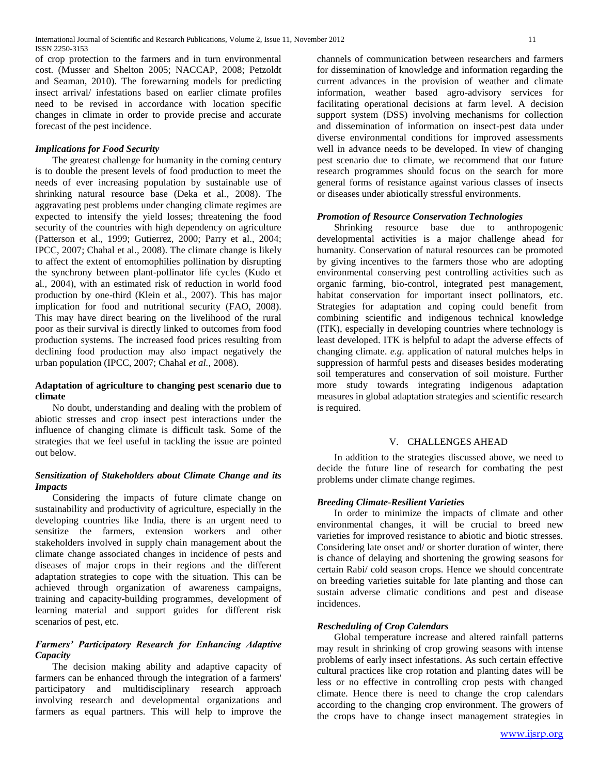of crop protection to the farmers and in turn environmental cost. (Musser and Shelton 2005; NACCAP, 2008; Petzoldt and Seaman, 2010). The forewarning models for predicting insect arrival/ infestations based on earlier climate profiles need to be revised in accordance with location specific changes in climate in order to provide precise and accurate forecast of the pest incidence.

#### *Implications for Food Security*

 The greatest challenge for humanity in the coming century is to double the present levels of food production to meet the needs of ever increasing population by sustainable use of shrinking natural resource base (Deka et al*.,* 2008). The aggravating pest problems under changing climate regimes are expected to intensify the yield losses; threatening the food security of the countries with high dependency on agriculture (Patterson et al., 1999; Gutierrez, 2000; Parry et al., 2004; IPCC, 2007; Chahal et al*.,* 2008). The climate change is likely to affect the extent of entomophilies pollination by disrupting the synchrony between plant-pollinator life cycles (Kudo et al*.,* 2004), with an estimated risk of reduction in world food production by one-third (Klein et al*.,* 2007). This has major implication for food and nutritional security (FAO, 2008). This may have direct bearing on the livelihood of the rural poor as their survival is directly linked to outcomes from food production systems. The increased food prices resulting from declining food production may also impact negatively the urban population (IPCC, 2007; Chahal *et al.,* 2008).

#### **Adaptation of agriculture to changing pest scenario due to climate**

 No doubt, understanding and dealing with the problem of abiotic stresses and crop insect pest interactions under the influence of changing climate is difficult task. Some of the strategies that we feel useful in tackling the issue are pointed out below.

## *Sensitization of Stakeholders about Climate Change and its Impacts*

 Considering the impacts of future climate change on sustainability and productivity of agriculture, especially in the developing countries like India, there is an urgent need to sensitize the farmers, extension workers and other stakeholders involved in supply chain management about the climate change associated changes in incidence of pests and diseases of major crops in their regions and the different adaptation strategies to cope with the situation. This can be achieved through organization of awareness campaigns, training and capacity-building programmes, development of learning material and support guides for different risk scenarios of pest, etc.

## *Farmers' Participatory Research for Enhancing Adaptive Capacity*

 The decision making ability and adaptive capacity of farmers can be enhanced through the integration of a farmers' participatory and multidisciplinary research approach involving research and developmental organizations and farmers as equal partners. This will help to improve the

channels of communication between researchers and farmers for dissemination of knowledge and information regarding the current advances in the provision of weather and climate information, weather based agro-advisory services for facilitating operational decisions at farm level. A decision support system (DSS) involving mechanisms for collection and dissemination of information on insect-pest data under diverse environmental conditions for improved assessments well in advance needs to be developed. In view of changing pest scenario due to climate, we recommend that our future research programmes should focus on the search for more general forms of resistance against various classes of insects or diseases under abiotically stressful environments.

#### *Promotion of Resource Conservation Technologies*

 Shrinking resource base due to anthropogenic developmental activities is a major challenge ahead for humanity. Conservation of natural resources can be promoted by giving incentives to the farmers those who are adopting environmental conserving pest controlling activities such as organic farming, bio-control, integrated pest management, habitat conservation for important insect pollinators, etc. Strategies for adaptation and coping could benefit from combining scientific and indigenous technical knowledge (ITK), especially in developing countries where technology is least developed. ITK is helpful to adapt the adverse effects of changing climate. *e.g.* application of natural mulches helps in suppression of harmful pests and diseases besides moderating soil temperatures and conservation of soil moisture. Further more study towards integrating indigenous adaptation measures in global adaptation strategies and scientific research is required.

## V. CHALLENGES AHEAD

 In addition to the strategies discussed above, we need to decide the future line of research for combating the pest problems under climate change regimes.

#### *Breeding Climate-Resilient Varieties*

 In order to minimize the impacts of climate and other environmental changes, it will be crucial to breed new varieties for improved resistance to abiotic and biotic stresses. Considering late onset and/ or shorter duration of winter, there is chance of delaying and shortening the growing seasons for certain Rabi/ cold season crops. Hence we should concentrate on breeding varieties suitable for late planting and those can sustain adverse climatic conditions and pest and disease incidences.

## *Rescheduling of Crop Calendars*

 Global temperature increase and altered rainfall patterns may result in shrinking of crop growing seasons with intense problems of early insect infestations. As such certain effective cultural practices like crop rotation and planting dates will be less or no effective in controlling crop pests with changed climate. Hence there is need to change the crop calendars according to the changing crop environment. The growers of the crops have to change insect management strategies in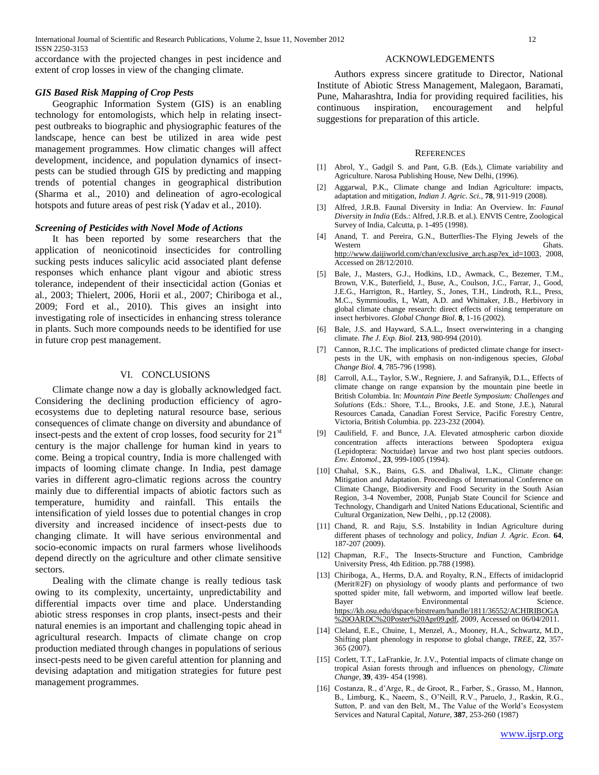accordance with the projected changes in pest incidence and extent of crop losses in view of the changing climate.

#### *GIS Based Risk Mapping of Crop Pests*

 Geographic Information System (GIS) is an enabling technology for entomologists, which help in relating insectpest outbreaks to biographic and physiographic features of the landscape, hence can best be utilized in area wide pest management programmes. How climatic changes will affect development, incidence, and population dynamics of insectpests can be studied through GIS by predicting and mapping trends of potential changes in geographical distribution (Sharma et al., 2010) and delineation of agro-ecological hotspots and future areas of pest risk (Yadav et al*.,* 2010).

#### *Screening of Pesticides with Novel Mode of Actions*

 It has been reported by some researchers that the application of neonicotinoid insecticides for controlling sucking pests induces salicylic acid associated plant defense responses which enhance plant vigour and abiotic stress tolerance, independent of their insecticidal action (Gonias et al*.,* 2003; Thielert, 2006, Horii et al*.,* 2007; Chiriboga et al*.,* 2009; Ford et al*.,* 2010). This gives an insight into investigating role of insecticides in enhancing stress tolerance in plants. Such more compounds needs to be identified for use in future crop pest management.

#### VI. CONCLUSIONS

 Climate change now a day is globally acknowledged fact. Considering the declining production efficiency of agroecosystems due to depleting natural resource base, serious consequences of climate change on diversity and abundance of insect-pests and the extent of crop losses, food security for 21<sup>st</sup> century is the major challenge for human kind in years to come. Being a tropical country, India is more challenged with impacts of looming climate change. In India, pest damage varies in different agro-climatic regions across the country mainly due to differential impacts of abiotic factors such as temperature, humidity and rainfall. This entails the intensification of yield losses due to potential changes in crop diversity and increased incidence of insect-pests due to changing climate. It will have serious environmental and socio-economic impacts on rural farmers whose livelihoods depend directly on the agriculture and other climate sensitive sectors.

 Dealing with the climate change is really tedious task owing to its complexity, uncertainty, unpredictability and differential impacts over time and place. Understanding abiotic stress responses in crop plants, insect-pests and their natural enemies is an important and challenging topic ahead in agricultural research. Impacts of climate change on crop production mediated through changes in populations of serious insect-pests need to be given careful attention for planning and devising adaptation and mitigation strategies for future pest management programmes.

#### ACKNOWLEDGEMENTS

 Authors express sincere gratitude to Director, National Institute of Abiotic Stress Management, Malegaon, Baramati, Pune, Maharashtra, India for providing required facilities, his continuous inspiration, encouragement and helpful suggestions for preparation of this article.

#### **REFERENCES**

- [1] Abrol, Y., Gadgil S. and Pant, G.B. (Eds.), Climate variability and Agriculture. Narosa Publishing House, New Delhi, (1996).
- [2] Aggarwal, P.K., Climate change and Indian Agriculture: impacts, adaptation and mitigation, *Indian J. Agric. Sci.,* **78**, 911-919 (2008).
- [3] Alfred, J.R.B. Faunal Diversity in India: An Overview. In: *Faunal Diversity in India* (Eds.: Alfred, J.R.B. et al.). ENVIS Centre, Zoological Survey of India, Calcutta, p. 1-495 (1998).
- [4] Anand, T. and Pereira, G.N., Butterflies-The Flying Jewels of the Western Ghats. [http://www.daijiworld.com/chan/exclusive\\_arch.asp?ex\\_id=1003,](http://www.daijiworld.com/chan/exclusive_arch.asp?ex_id=1003) 2008, Accessed on 28/12/2010.
- [5] Bale, J., Masters, G.J., Hodkins, I.D., Awmack, C., Bezemer, T.M., Brown, V.K., Buterfield, J., Buse, A., Coulson, J.C., Farrar, J., Good, J.E.G., Harrigton, R., Hartley, S., Jones, T.H., Lindroth, R.L., Press, M.C., Symrnioudis, I., Watt, A.D. and Whittaker, J.B., Herbivory in global climate change research: direct effects of rising temperature on insect herbivores. *Global Change Biol.* **8**, 1-16 (2002).
- [6] Bale, J.S. and Hayward, S.A.L., Insect overwintering in a changing climate. *The J. Exp. Biol.* **213**, 980-994 (2010).
- [7] Cannon, R.J.C. The implications of predicted climate change for insectpests in the UK, with emphasis on non-indigenous species, *Global Change Biol.* **4**, 785-796 (1998).
- [8] Carroll, A.L., Taylor, S.W., Regniere, J. and Safranyik, D.L., Effects of climate change on range expansion by the mountain pine beetle in British Columbia. In: *Mountain Pine Beetle Symposium: Challenges and Solutions* (Eds.: Shore, T.L., Brooks, J.E. and Stone, J.E.), Natural Resources Canada, Canadian Forest Service, Pacific Forestry Centre, Victoria, British Columbia. pp. 223-232 (2004).
- [9] Caulifield, F. and Bunce, J.A. Elevated atmospheric carbon dioxide concentration affects interactions between Spodoptera exigua (Lepidoptera: Noctuidae) larvae and two host plant species outdoors. *Env. Entomol.,* **23**, 999-1005 (1994).
- [10] Chahal, S.K., Bains, G.S. and Dhaliwal, L.K., Climate change: Mitigation and Adaptation. Proceedings of International Conference on Climate Change, Biodiversity and Food Security in the South Asian Region, 3-4 November, 2008, Punjab State Council for Science and Technology, Chandigarh and United Nations Educational, Scientific and Cultural Organization, New Delhi, , pp.12 (2008).
- [11] Chand, R. and Raju, S.S. Instability in Indian Agriculture during different phases of technology and policy, *Indian J. Agric. Econ.* **64**, 187-207 (2009).
- [12] Chapman, R.F., The Insects-Structure and Function, Cambridge University Press, 4th Edition. pp.788 (1998).
- [13] Chiriboga, A., Herms, D.A. and Royalty, R.N., Effects of imidacloprid (Merit®2F) on physiology of woody plants and performance of two spotted spider mite, fall webworm, and imported willow leaf beetle. Bayer Environmental Science. [https://kb.osu.edu/dspace/bitstream/handle/1811/36552/ACHIRIBOGA](https://kb.osu.edu/dspace/bitstream/handle/1811/36552/ACHIRIBOGA%20OARDC%20Poster%20Apr09.pdf) [%20OARDC%20Poster%20Apr09.pdf,](https://kb.osu.edu/dspace/bitstream/handle/1811/36552/ACHIRIBOGA%20OARDC%20Poster%20Apr09.pdf) 2009, Accessed on 06/04/2011.
- [14] Cleland, E.E., Chuine, I., Menzel, A., Mooney, H.A., Schwartz, M.D., Shifting plant phenology in response to global change, *TREE,* **22**, 357- 365 (2007).
- [15] Corlett, T.T., LaFrankie, Jr. J.V., Potential impacts of climate change on tropical Asian forests through and influences on phenology, *Climate Change,* **39**, 439- 454 (1998).
- [16] Costanza, R., d'Arge, R., de Groot, R., Farber, S., Grasso, M., Hannon, B., Limburg, K., Naeem, S., O'Neill, R.V., Paruelo, J., Raskin, R.G., Sutton, P. and van den Belt, M., The Value of the World's Ecosystem Services and Natural Capital, *Nature,* **387**, 253-260 (1987)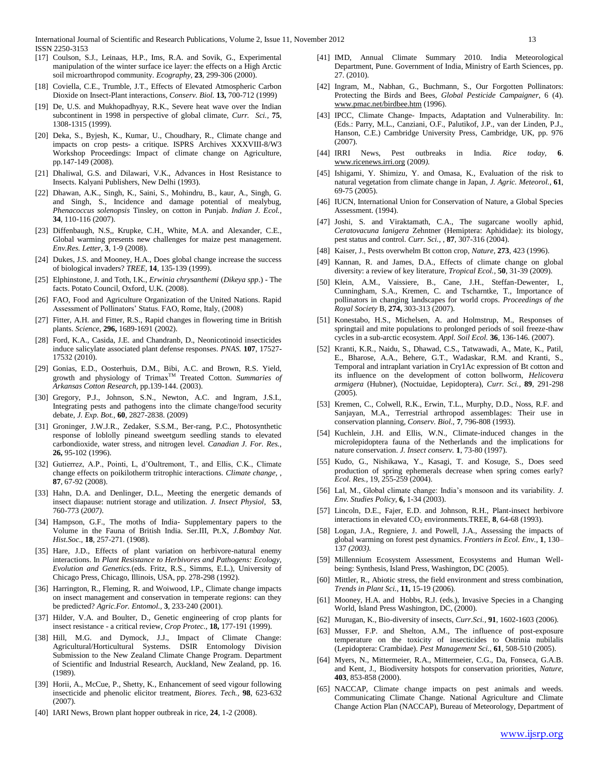- [17] Coulson, S.J., Leinaas, H.P., Ims, R.A. and Sovik, G., Experimental manipulation of the winter surface ice layer: the effects on a High Arctic soil microarthropod community. *Ecography,* **23**, 299-306 (2000).
- [18] Coviella, C.E., Trumble, J.T., Effects of Elevated Atmospheric Carbon Dioxide on Insect-Plant interactions, *Conserv. Biol.* **13,** 700-712 (1999)
- [19] De, U.S. and Mukhopadhyay, R.K., Severe heat wave over the Indian subcontinent in 1998 in perspective of global climate, *Curr. Sci.,* **75**, 1308-1315 (1999).
- [20] Deka, S., Byjesh, K., Kumar, U., Choudhary, R., Climate change and impacts on crop pests- a critique. ISPRS Archives XXXVIII-8/W3 Workshop Proceedings: Impact of climate change on Agriculture, pp.147-149 (2008).
- [21] Dhaliwal, G.S. and Dilawari, V.K., Advances in Host Resistance to Insects. Kalyani Publishers, New Delhi (1993).
- [22] Dhawan, A.K., Singh, K., Saini, S., Mohindru, B., kaur, A., Singh, G. and Singh, S., Incidence and damage potential of mealybug, *Phenacoccus solenopsis* Tinsley, on cotton in Punjab. *Indian J. Ecol.,* **34**, 110-116 (2007).
- [23] Diffenbaugh, N.S,, Krupke, C.H., White, M.A. and Alexander, C.E., Global warming presents new challenges for maize pest management. *Env.Res. Letter,* **3**, 1-9 (2008).
- [24] Dukes, J.S. and Mooney, H.A., Does global change increase the success of biological invaders? *TREE,* **14**, 135-139 (1999).
- [25] Elphinstone, J. and Toth, I.K., *Erwinia chrysanthemi* (*Dikeya spp*.) The facts. Potato Council, Oxford, U.K. (2008).
- [26] FAO, Food and Agriculture Organization of the United Nations. Rapid Assessment of Pollinators' Status. FAO, Rome, Italy, (2008)
- [27] Fitter, A.H. and Fitter, R.S., Rapid changes in flowering time in British plants. *Science,* **296,** 1689-1691 (2002).
- [28] Ford, K.A., Casida, J.E. and Chandranb, D., Neonicotinoid insecticides induce salicylate associated plant defense responses. *PNAS.* **107**, 17527- 17532 (2010).
- [29] Gonias, E.D., Oosterhuis, D.M., Bibi, A.C. and Brown, R.S. Yield, growth and physiology of Trimax<sup>™</sup> Treated Cotton. *Summaries of Arkansas Cotton Research,* pp.139-144. (2003).
- [30] Gregory, P.J., Johnson, S.N., Newton, A.C. and Ingram, J.S.I., Integrating pests and pathogens into the climate change/food security debate, *J. Exp. Bot.,* **60**, 2827-2838. (2009)
- [31] Groninger, J.W.J.R., Zedaker, S.S.M., Ber-rang, P.C., Photosynthetic response of loblolly pineand sweetgum seedling stands to elevated carbondioxide, water stress, and nitrogen level. *Canadian J. For. Res.,* **26,** 95-102 (1996).
- [32] Gutierrez, A.P., Pointi, L, d'Oultremont, T., and Ellis, C.K., Climate change effects on poikilotherm tritrophic interactions. *Climate change,* , **87**, 67-92 (2008).
- [33] Hahn, D.A. and Denlinger, D.L., Meeting the energetic demands of insect diapause: nutrient storage and utilization. *J. Insect Physiol,* **53**, 760-773 (*2007)*.
- [34] Hampson, G.F., The moths of India- Supplementary papers to the Volume in the Fauna of British India. Ser.III, Pt.X, *J.Bombay Nat. Hist.Soc.,* **18**, 257-271. (1908).
- [35] Hare, J.D., Effects of plant variation on herbivore-natural enemy interactions. In *Plant Resistance to Herbivores and Pathogens: Ecology, Evolution and Genetics.*(eds. Fritz, R.S., Simms, E.L.), University of Chicago Press, Chicago, Illinois, USA, pp. 278-298 (1992).
- [36] Harrington, R., Fleming, R. and Woiwood, I.P., Climate change impacts on insect management and conservation in temperate regions: can they be predicted? *Agric.For. Entomol.,* **3**, 233-240 (2001).
- [37] Hilder, V.A. and Boulter, D., Genetic engineering of crop plants for insect resistance - a critical review, *Crop Protec.,* **18,** 177-191 (1999).
- [38] Hill, M.G. and Dymock, J.J., Impact of Climate Change: Agricultural/Horticultural Systems. DSIR Entomology Division Submission to the New Zealand Climate Change Program. Department of Scientific and Industrial Research, Auckland, New Zealand, pp. 16. (1989).
- [39] Horii, A., McCue, P., Shetty, K., Enhancement of seed vigour following insecticide and phenolic elicitor treatment, *Biores. Tech.,* **98**, 623-632 (2007).
- [40] IARI News, Brown plant hopper outbreak in rice, **24**, 1-2 (2008).
- [41] IMD, Annual Climate Summary 2010. India Meteorological Department, Pune. Government of India, Ministry of Earth Sciences, pp. 27. (2010).
- [42] Ingram, M., Nabhan, G., Buchmann, S., Our Forgotten Pollinators: Protecting the Birds and Bees, *Global Pesticide Campaigner*, 6 (4). [www.pmac.net/birdbee.htm](http://www.pmac.net/birdbee.htm) (1996).
- [43] IPCC, Climate Change- Impacts, Adaptation and Vulnerability. In: (Eds.: Parry, M.L., Canziani, O.F., Palutikof, J.P., van der Linden, P.J., Hanson, C.E.) Cambridge University Press, Cambridge, UK, pp. 976 (2007).
- [44] IRRI News, Pest outbreaks in India. *Rice today,* **6**. [www.ricenews.irri.org](http://www.ricenews.irri.org/) (2009*).*
- [45] Ishigami, Y. Shimizu, Y. and Omasa, K., Evaluation of the risk to natural vegetation from climate change in Japan, *J. Agric. Meteorol.,* **61**, 69-75 (2005).
- [46] IUCN, International Union for Conservation of Nature, a Global Species Assessment. (1994).
- [47] Joshi, S. and Viraktamath, C.A., The sugarcane woolly aphid, *Ceratovacuna lanigera* Zehntner (Hemiptera: Aphididae): its biology, pest status and control. *Curr. Sci.,* , **87**, 307-316 (2004).
- [48] Kaiser, J., Pests overwhelm Bt cotton crop, *Nature,* **273**, 423 (1996).
- [49] Kannan, R. and James, D.A., Effects of climate change on global diversity: a review of key literature, *Tropical Ecol.,* **50**, 31-39 (2009).
- [50] Klein, A.M., Vaissiere, B., Cane, J.H., Steffan-Dewenter, I., Cunningham, S.A., Kremen, C. and Tscharntke, T., Importance of pollinators in changing landscapes for world crops. *Proceedings of the Royal Society* B, **274,** 303-313 (2007).
- [51] Konestabo, H.S., Michelsen, A. and Holmstrup, M., Responses of springtail and mite populations to prolonged periods of soil freeze-thaw cycles in a sub-arctic ecosystem. *Appl. Soil Ecol.* **36**, 136-146. (2007).
- [52] Kranti, K.R., Naidu, S., Dhawad, C.S., Tatwawadi, A., Mate, K., Patil, E., Bharose, A.A., Behere, G.T., Wadaskar, R.M. and Kranti, S., Temporal and intraplant variation in Cry1Ac expression of Bt cotton and its influence on the development of cotton bollworm, *Helicovera armigera* (Hubner), (Noctuidae, Lepidoptera), *Curr. Sci.,* **89**, 291-298 (2005).
- [53] Kremen, C., Colwell, R.K., Erwin, T.L., Murphy, D.D., Noss, R.F. and Sanjayan, M.A., Terrestrial arthropod assemblages: Their use in conservation planning, *Conserv. Biol.,* **7**, 796-808 (1993).
- [54] Kuchlein, J.H. and Ellis, W.N., Climate-induced changes in the microlepidoptera fauna of the Netherlands and the implications for nature conservation. *J. Insect conserv.* **1**, 73-80 (1997).
- [55] Kudo, G., Nishikawa, Y., Kasagi, T. and Kosuge, S., Does seed production of spring ephemerals decrease when spring comes early? *Ecol. Res.,* 19, 255-259 (2004).
- [56] Lal, M., Global climate change: India's monsoon and its variability. *J. Env. Studies Policy,* **6,** 1-34 (2003).
- [57] Lincoln, D.E., Fajer, E.D. and Johnson, R.H., Plant-insect herbivore interactions in elevated  $CO<sub>2</sub>$  environments.TREE, **8**, 64-68 (1993).
- [58] Logan, J.A., Regniere, J. and Powell, J.A., Assessing the impacts of global warming on forest pest dynamics. *Frontiers in Ecol. Env.,* **1**, 130– 137 *(2003).*
- [59] Millennium Ecosystem Assessment, Ecosystems and Human Wellbeing: Synthesis, Island Press, Washington, DC (2005).
- [60] Mittler, R., Abiotic stress, the field environment and stress combination, *Trends in Plant Sci.,* **11,** 15-19 (2006).
- [61] Mooney, H.A. and Hobbs, R.J. (eds.), Invasive Species in a Changing World, Island Press Washington, DC, (2000).
- [62] Murugan, K., Bio-diversity of insects, *Curr.Sci.,* **91**, 1602-1603 (2006).
- [63] Musser, F.P. and Shelton, A.M., The influence of post-exposure temperature on the toxicity of insecticides to Ostrinia nubilalis (Lepidoptera: Crambidae). *Pest Management Sci.,* **61**, 508-510 (2005).
- [64] Myers, N., Mittermeier, R.A., Mittermeier, C.G., Da, Fonseca, G.A.B. and Kent, J., Biodiversity hotspots for conservation priorities, *Nature,* **403**, 853-858 (2000).
- [65] NACCAP, Climate change impacts on pest animals and weeds. Communicating Climate Change. National Agriculture and Climate Change Action Plan (NACCAP), Bureau of Meteorology, Department of